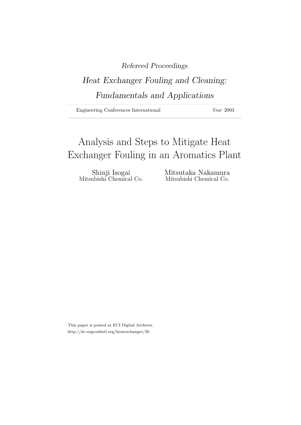# Refereed Proceedings

# Heat Exchanger Fouling and Cleaning: Fundamentals and Applications

Engineering Conferences International Year 2003

# Analysis and Steps to Mitigate Heat Exchanger Fouling in an Aromatics Plant

Shinji Isogai Mitsutaka Nakamura<br>Mitsubishi Chemical Co. Mitsubishi Chemical Co.

Mitsubishi Chemical Co.

This paper is posted at ECI Digital Archives. http://dc.engconfintl.org/heatexchanger/30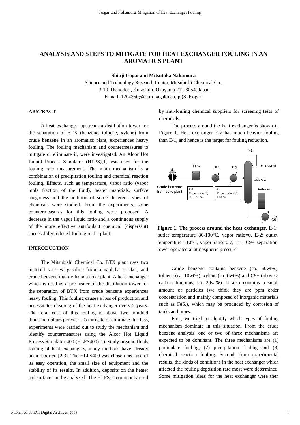# **ANALYSIS AND STEPS TO MITIGATE FOR HEAT EXCHANGER FOULING IN AN AROMATICS PLANT**

**Shinji Isogai and Mitsutaka Nakamura**

Science and Technology Research Center, Mitsubishi Chemical Co., 3-10, Ushiodori, Kurashiki, Okayama 712-8054, Japan. E-mail: 1204350@cc.m-kagaku.co.jp (S. Isogai)

#### **ABSTRACT**

 A heat exchanger, upstream a distillation tower for the separation of BTX (benzene, toluene, xylene) from crude benzene in an aromatics plant, experiences heavy fouling. The fouling mechanism and countermeasures to mitigate or eliminate it, were investigated. An Alcor Hot Liquid Process Simulator (HLPS)[1] was used for the fouling rate measurement. The main mechanism is a combination of precipitation fouling and chemical reaction fouling. Effects, such as temperature, vapor ratio (vapor mole fraction of the fluid), heater materials, surface roughness and the addition of some different types of chemicals were studied. From the experiments, some countermeasures for this fouling were proposed. A decrease in the vapor liquid ratio and a continuous supply of the more effective antifoulant chemical (dispersant) successfully reduced fouling in the plant.

### **INTRODUCTION**

 The Mitsubishi Chemical Co. BTX plant uses two material sources: gasoline from a naphtha cracker, and crude benzene mainly from a coke plant. A heat exchanger which is used as a pre-heater of the distillation tower for the separation of BTX from crude benzene experiences heavy fouling. This fouling causes a loss of production and necessitates cleaning of the heat exchanger every 2 years. The total cost of this fouling is above two hundred thousand dollars per year. To mitigate or eliminate this loss, experiments were carried out to study the mechanism and identify countermeasures using the Alcor Hot Liquid Process Simulator 400 (HLPS400). To study organic fluids fouling of heat exchangers, many methods have already been reported [2,3]. The HLPS400 was chosen because of its easy operation, the small size of equipment and the stability of its results. In addition, deposits on the heater rod surface can be analyzed. The HLPS is commonly used

by anti-fouling chemical suppliers for screening tests of chemicals.

 The process around the heat exchanger is shown in Figure 1. Heat exchanger E-2 has much heavier fouling than E-1, and hence is the target for fouling reduction.



**Figure 1**. **The process around the heat exchanger.** E-1: outlet temperature 80-100°C, vapor ratio=0, E-2: outlet temperature 110°C, vapor ratio=0.7, T-1: C9+ separation tower operated at atmospheric pressure.

 Crude benzene contains benzene (ca. 60wt%), toluene (ca.  $10wt\%$ ), xylene (ca.  $6wt\%$ ) and C9+ (above 8 carbon fractions, ca. 20wt%). It also contains a small amount of particles (we think they are ppm order concentration and mainly composed of inorganic materials such as FeS.), which may be produced by corrosion of tanks and pipes.

 First, we tried to identify which types of fouling mechanism dominate in this situation. From the crude benzene analysis, one or two of three mechanisms are expected to be dominant. The three mechanisms are (1) particulate fouling, (2) precipitation fouling and (3) chemical reaction fouling. Second, from experimental results, the kinds of conditions in the heat exchanger which affected the fouling deposition rate most were determined. Some mitigation ideas for the heat exchanger were then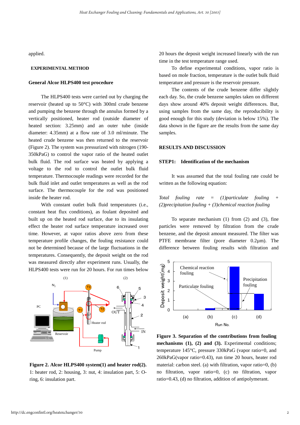applied.

#### **EXPERIMENTAL METHOD**

#### **General Alcor HLPS400 test procedure**

 The HLPS400 tests were carried out by charging the reservoir (heated up to 50°C) with 300ml crude benzene and pumping the benzene through the annulus formed by a vertically positioned, heater rod (outside diameter of heated section: 3.25mm) and an outer tube (inside diameter: 4.35mm) at a flow rate of 3.0 ml/minute. The heated crude benzene was then returned to the reservoir (Figure 2). The system was pressurized with nitrogen (190- 350kPaG) to control the vapor ratio of the heated outlet bulk fluid. The rod surface was heated by applying a voltage to the rod to control the outlet bulk fluid temperature. Thermocouple readings were recorded for the bulk fluid inlet and outlet temperatures as well as the rod surface. The thermocouple for the rod was positioned inside the heater rod.

 With constant outlet bulk fluid temperatures (i.e., constant heat flux conditions), as foulant deposited and built up on the heated rod surface, due to its insulating effect the heater rod surface temperature increased over time. However, at vapor ratios above zero from these temperature profile changes, the fouling resistance could not be determined because of the large fluctuations in the temperatures. Consequently, the deposit weight on the rod was measured directly after experiment runs. Usually, the HLPS400 tests were run for 20 hours. For run times below



**Figure 2. Alcor HLPS400 system(1) and heater rod(2).** 1: heater rod, 2: housing, 3: nut, 4: insulation part, 5: Oring, 6: insulation part.

20 hours the deposit weight increased linearly with the run time in the test temperature range used.

 To define experimental conditions, vapor ratio is based on mole fraction, temperature is the outlet bulk fluid temperature and pressure is the reservoir pressure.

 The contents of the crude benzene differ slightly each day. So, the crude benzene samples taken on different days show around 40% deposit weight differences. But, using samples from the same day, the reproducibility is good enough for this study (deviation is below 15%). The data shown in the figure are the results from the same day samples.

#### **RESULTS AND DISCUSSION**

#### **STEP1: Identification of the mechanism**

 It was assumed that the total fouling rate could be written as the following equation:

*Total fouling rate = (1)particulate fouling + (2)precipitation fouling + (3)chemical reaction fouling*

 To separate mechanism (1) from (2) and (3), fine particles were removed by filtration from the crude benzene, and the deposit amount measured. The filter was PTFE membrane filter (pore diameter 0.2µm). The difference between fouling results with filtration and



**Figure 3. Separation of the contributions from fouling mechanisms (1), (2) and (3).** Experimental conditions; temperature 145°C, pressure 330kPaG (vapor ratio=0, and 260kPaG(vapor ratio=0.43), run time 20 hours, heater rod material: carbon steel. (a) with filtration, vapor ratio=0, (b) no filtration, vapor ratio=0, (c) no filtration, vapor ratio=0.43, (d) no filtration, addition of antipolymerant.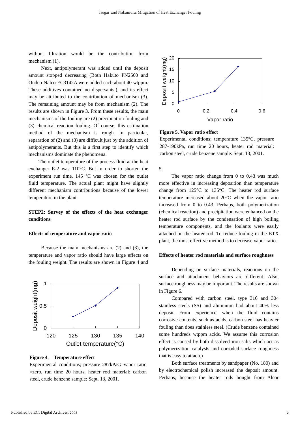without filtration would be the contribution from mechanism (1).

 Next, antipolymerant was added until the deposit amount stopped decreasing (Both Hakuto PN2500 and Ondeo-Nalco EC3142A were added each about 40 wtppm. These additives contained no dispersants.), and its effect may be attributed to the contribution of mechanism (3). The remaining amount may be from mechanism (2). The results are shown in Figure 3. From these results, the main mechanisms of the fouling are (2) precipitation fouling and (3) chemical reaction fouling. Of course, this estimation method of the mechanism is rough. In particular, separation of (2) and (3) are difficult just by the addition of antipolymerants. But this is a first step to identify which mechanisms dominate the phenomena.

 The outlet temperature of the process fluid at the heat exchanger E-2 was 110°C. But in order to shorten the experiment run time, 145 °C was chosen for the outlet fluid temperature. The actual plant might have slightly different mechanism contributions because of the lower temperature in the plant.

# **STEP2: Survey of the effects of the heat exchanger conditions**

#### **Effects of temperature and vapor ratio**

 Because the main mechanisms are (2) and (3), the temperature and vapor ratio should have large effects on the fouling weight. The results are shown in Figure 4 and



# **Figure 4**. **Temperature effect**

Experimental conditions; pressure 287kPaG, vapor ratio =zero, run time 20 hours, heater rod material: carbon steel, crude benzene sample: Sept. 13, 2001.



**Figure 5. Vapor ratio effect**

Experimental conditions; temperature 135°C, pressure 287-190kPa, run time 20 hours, heater rod material: carbon steel, crude benzene sample: Sept. 13, 2001.

5.

 The vapor ratio change from 0 to 0.43 was much more effective in increasing deposition than temperature change from 125°C to 135°C. The heater rod surface temperature increased about 20°C when the vapor ratio increased from 0 to 0.43. Perhaps, both polymerization (chemical reaction) and precipitation were enhanced on the heater rod surface by the condensation of high boiling temperature components, and the foulants were easily attached on the heater rod. To reduce fouling in the BTX plant, the most effective method is to decrease vapor ratio.

#### **Effects of heater rod materials and surface roughness**

 Depending on surface materials, reactions on the surface and attachment behaviors are different. Also, surface roughness may be important. The results are shown in Figure 6.

 Compared with carbon steel, type 316 and 304 stainless steels (SS) and aluminum had about 40% less deposit. From experience, when the fluid contains corrosive contents, such as acids, carbon steel has heavier fouling than does stainless steel. (Crude benzene contained some hundreds wtppm acids. We assume this corrosion effect is caused by both dissolved iron salts which act as polymerization catalysts and corroded surface roughness that is easy to attach.)

 Both surface treatments by sandpaper (No. 180) and by electrochemical polish increased the deposit amount. Perhaps, because the heater rods bought from Alcor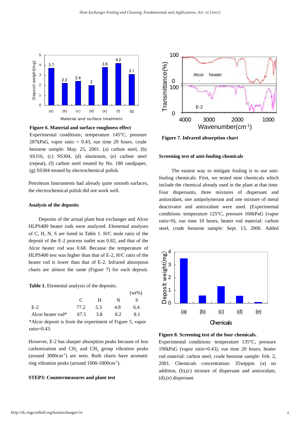

**Figure 6. Material and surface roughness effect**

Experimental conditions; temperature 145°C, pressure  $287kPaG$ , vapor ratio = 0.43, run time 20 hours. crude benzene sample: May. 25, 2001. (a) carbon steel, (b) SS316, (c) SS304, (d) aluminum, (e) carbon steel (repeat), (f) carbon steel treated by No. 180 sandpaper, (g) SS304 treated by electrochemical polish.

Petroleum Instruments had already quite smooth surfaces, the electrochemical polish did not work well.

#### **Analysis of the deposits**

 Deposits of the actual plant heat exchanger and Alcor HLPS400 heater rods were analyzed. Elemental analyses of C, H, N, S are listed in Table 1. H/C mole ratio of the deposit of the E-2 process outlet was 0.82, and that of the Alcor heater rod was 0.68. Because the temperature of HLPS400 test was higher than that of E-2, H/C ratio of the heater rod is lower than that of E-2. Infrared absorption charts are almost the same (Figure 7) for each deposit.

**Table 1.** Elemental analysis of the deposits.

|                   |          |     | $(wt\%)$ |     |  |
|-------------------|----------|-----|----------|-----|--|
|                   | C        | H   | N        | S   |  |
| $E-2$             | 77.2     | 5.3 | 4.8      | 6.4 |  |
| Alcor heater rod* | 67.5 3.8 |     | 8.2      | 8.1 |  |

\*Alcor deposit is from the experiment of Figure 5, vapor ratio=0.43.

However, E-2 has sharper absorption peaks because of less carbonization and  $CH<sub>2</sub>$  and  $CH<sub>3</sub>$  group vibration peaks (around 3000cm-1) are seen. Both charts have aromatic ring vibration peaks (around 1000-1800cm-1).

#### **STEP3: Countermeasures and plant test**



**Figure 7. Infrared absorption chart**

#### **Screening test of anti-fouling chemicals**

 The easiest way to mitigate fouling is to use antifouling chemicals. First, we tested nine chemicals which include the chemical already used in the plant at that time. Four dispersants, three mixtures of dispersant and antioxidant, one antipolymerant and one mixture of metal deactivator and antioxidant were used. (Experimental conditions: temperature 125°C, pressure 160kPaG (vapor ratio=0), run time 10 hours, heater rod material: carbon steel, crude benzene sample: Sept. 13, 2000. Added



**Figure 8. Screening test of the four chemicals.**

Experimental conditions: temperature 135°C, pressure 190kPaG (vapor ratio=0.43), run time 20 hours, heater rod material: carbon steel, crude benzene sample: Feb. 2, 2001. Chemicals concentration: 35wtppm. (a) no addition, (b),(c) mixture of dispersant and antioxidant, (d),(e) dispersant.